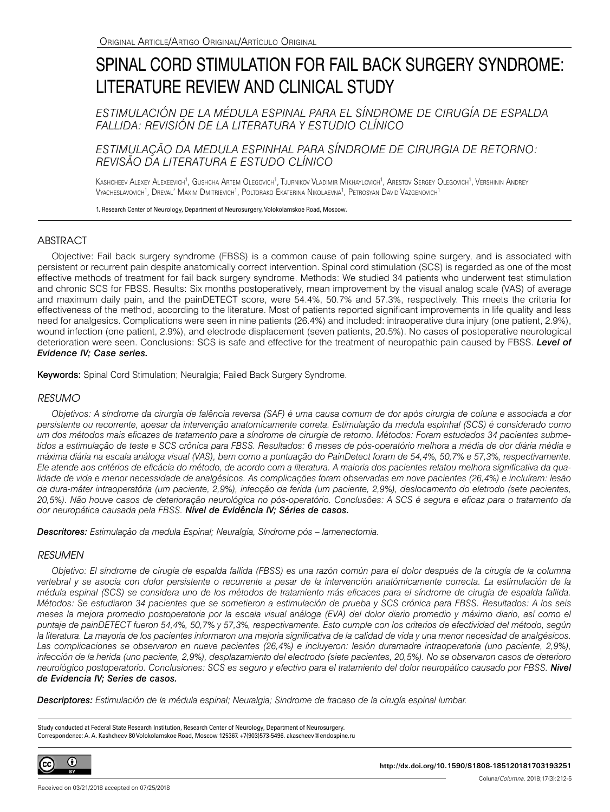# SPINAL CORD STIMULATION FOR FAIL BACK SURGERY SYNDROME: LITERATURE REVIEW AND CLINICAL STUDY

*ESTIMULACIÓN DE LA MÉDULA ESPINAL PARA EL SÍNDROME DE CIRUGÍA DE ESPALDA FALLIDA: REVISIÓN DE LA LITERATURA Y ESTUDIO CLÍNICO*

## *ESTIMULAÇÃO DA MEDULA ESPINHAL PARA SÍNDROME DE CIRURGIA DE RETORNO: REVISÃO DA LITERATURA E ESTUDO CLÍNICO*

Kashcheev Alexeevich<sup>1</sup>, Gushcha Artem Olegovich<sup>1</sup>, Tjurnikov Vladimir Mikhaylovich<sup>1</sup>, Arestov Sergey Olegovich<sup>1</sup>, Vershinin Andrey Vyacheslavovich<sup>1</sup>, Dreval' Maxim Dmitrievich<sup>1</sup>, Poltorako Ekaterina Nikolaevna<sup>1</sup>, Petrosyan David Vazgenovich<sup>1</sup>

1. Research Center of Neurology, Department of Neurosurgery, Volokolamskoe Road, Moscow.

## ABSTRACT

Objective: Fail back surgery syndrome (FBSS) is a common cause of pain following spine surgery, and is associated with persistent or recurrent pain despite anatomically correct intervention. Spinal cord stimulation (SCS) is regarded as one of the most effective methods of treatment for fail back surgery syndrome. Methods: We studied 34 patients who underwent test stimulation and chronic SCS for FBSS. Results: Six months postoperatively, mean improvement by the visual analog scale (VAS) of average and maximum daily pain, and the painDETECT score, were 54.4%, 50.7% and 57.3%, respectively. This meets the criteria for effectiveness of the method, according to the literature. Most of patients reported significant improvements in life quality and less need for analgesics. Complications were seen in nine patients (26.4%) and included: intraoperative dura injury (one patient, 2.9%), wound infection (one patient, 2.9%), and electrode displacement (seven patients, 20.5%). No cases of postoperative neurological deterioration were seen. Conclusions: SCS is safe and effective for the treatment of neuropathic pain caused by FBSS. *Level of Evidence IV; Case series.*

Keywords: Spinal Cord Stimulation; Neuralgia; Failed Back Surgery Syndrome.

## *RESUMO*

*Objetivos: A síndrome da cirurgia de falência reversa (SAF) é uma causa comum de dor após cirurgia de coluna e associada a dor persistente ou recorrente, apesar da intervenção anatomicamente correta. Estimulação da medula espinhal (SCS) é considerado como um dos métodos mais eficazes de tratamento para a síndrome de cirurgia de retorno. Métodos: Foram estudados 34 pacientes subme*tidos a estimulação de teste e SCS crônica para FBSS. Resultados: 6 meses de pós-operatório melhora a média de dor diária média e *máxima diária na escala análoga visual (VAS), bem como a pontuação do PainDetect foram de 54,4%, 50,7% e 57,3%, respectivamente. Ele atende aos critérios de eficácia do método, de acordo com a literatura. A maioria dos pacientes relatou melhora significativa da qualidade de vida e menor necessidade de analgésicos. As complicações foram observadas em nove pacientes (26,4%) e incluíram: lesão da dura-máter intraoperatória (um paciente, 2,9%), infecção da ferida (um paciente, 2,9%), deslocamento do eletrodo (sete pacientes, 20,5%). Não houve casos de deterioração neurológica no pós-operatório. Conclusões: A SCS é segura e eficaz para o tratamento da dor neuropática causada pela FBSS. Nível de Evidência IV; Séries de casos.*

*Descritores: Estimulação da medula Espinal; Neuralgia, Síndrome pós – lamenectomia.*

## *RESUMEN*

*Objetivo: El síndrome de cirugía de espalda fallida (FBSS) es una razón común para el dolor después de la cirugía de la columna vertebral y se asocia con dolor persistente o recurrente a pesar de la intervención anatómicamente correcta. La estimulación de la médula espinal (SCS) se considera uno de los métodos de tratamiento más eficaces para el síndrome de cirugía de espalda fallida. Métodos: Se estudiaron 34 pacientes que se sometieron a estimulación de prueba y SCS crónica para FBSS. Resultados: A los seis meses la mejora promedio postoperatoria por la escala visual análoga (EVA) del dolor diario promedio y máximo diario, así como el puntaje de painDETECT fueron 54,4%, 50,7% y 57,3%, respectivamente. Esto cumple con los criterios de efectividad del método, según la literatura. La mayoría de los pacientes informaron una mejoría significativa de la calidad de vida y una menor necesidad de analgésicos.*  Las complicaciones se observaron en nueve pacientes (26,4%) e incluyeron: lesión duramadre intraoperatoria (uno paciente, 2,9%), *infección de la herida (uno paciente, 2,9%), desplazamiento del electrodo (siete pacientes, 20,5%). No se observaron casos de deterioro neurológico postoperatorio. Conclusiones: SCS es seguro y efectivo para el tratamiento del dolor neuropático causado por FBSS. Nivel de Evidencia IV; Series de casos.*

*Descriptores: Estimulación de la médula espinal; Neuralgia; Sindrome de fracaso de la cirugía espinal lumbar.*

Study conducted at Federal State Research Institution, Research Center of Neurology, Department of Neurosurgery. Correspondence: A. A. Kashcheev 80 Volokolamskoe Road, Moscow 125367. +7(903)573-5496. akascheev@endospine.ru

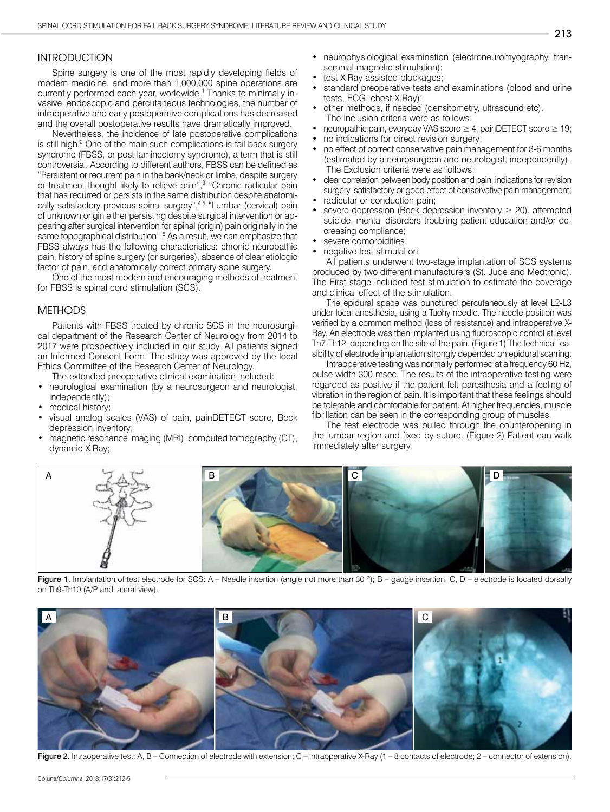## **INTRODUCTION**

Spine surgery is one of the most rapidly developing fields of modern medicine, and more than 1,000,000 spine operations are currently performed each year, worldwide.<sup>1</sup> Thanks to minimally invasive, endoscopic and percutaneous technologies, the number of intraoperative and early postoperative complications has decreased and the overall postoperative results have dramatically improved.

Nevertheless, the incidence of late postoperative complications is still high.<sup>2</sup> One of the main such complications is fail back surgery syndrome (FBSS, or post-laminectomy syndrome), a term that is still controversial. According to different authors, FBSS can be defined as "Persistent or recurrent pain in the back/neck or limbs, despite surgery or treatment thought likely to relieve pain",<sup>3</sup> "Chronic radicular pain that has recurred or persists in the same distribution despite anatomically satisfactory previous spinal surgery",<sup>4,5</sup> "Lumbar (cervical) pain of unknown origin either persisting despite surgical intervention or appearing after surgical intervention for spinal (origin) pain originally in the same topographical distribution".<sup>6</sup> As a result, we can emphasize that FBSS always has the following characteristics: chronic neuropathic pain, history of spine surgery (or surgeries), absence of clear etiologic factor of pain, and anatomically correct primary spine surgery.

One of the most modern and encouraging methods of treatment for FBSS is spinal cord stimulation (SCS).

#### METHODS

Patients with FBSS treated by chronic SCS in the neurosurgical department of the Research Center of Neurology from 2014 to 2017 were prospectively included in our study. All patients signed an Informed Consent Form. The study was approved by the local Ethics Committee of the Research Center of Neurology.

The extended preoperative clinical examination included:

- neurological examination (by a neurosurgeon and neurologist, independently);
- medical history;
- visual analog scales (VAS) of pain, painDETECT score, Beck depression inventory;
- magnetic resonance imaging (MRI), computed tomography (CT), dynamic X-Ray;
- neurophysiological examination (electroneuromyography, transcranial magnetic stimulation);
- test X-Ray assisted blockages;
- standard preoperative tests and examinations (blood and urine tests, ECG, chest X-Ray);
- other methods, if needed (densitometry, ultrasound etc). The Inclusion criteria were as follows:
- neuropathic pain, everyday VAS score  $\geq 4$ , painDETECT score  $\geq 19$ ;
- no indications for direct revision surgery;
- no effect of correct conservative pain management for 3-6 months (estimated by a neurosurgeon and neurologist, independently). The Exclusion criteria were as follows:
- clear correlation between body position and pain, indications for revision surgery, satisfactory or good effect of conservative pain management;
- radicular or conduction pain;
- severe depression (Beck depression inventory  $\geq$  20), attempted suicide, mental disorders troubling patient education and/or decreasing compliance;
- severe comorbidities;
- negative test stimulation.

All patients underwent two-stage implantation of SCS systems produced by two different manufacturers (St. Jude and Medtronic). The First stage included test stimulation to estimate the coverage and clinical effect of the stimulation.

The epidural space was punctured percutaneously at level L2-L3 under local anesthesia, using a Tuohy needle. The needle position was verified by a common method (loss of resistance) and intraoperative X-Ray. An electrode was then implanted using fluoroscopic control at level Th7-Th12, depending on the site of the pain. (Figure 1) The technical feasibility of electrode implantation strongly depended on epidural scarring.

Intraoperative testing was normally performed at a frequency 60 Hz, pulse width 300 msec. The results of the intraoperative testing were regarded as positive if the patient felt paresthesia and a feeling of vibration in the region of pain. It is important that these feelings should be tolerable and comfortable for patient. At higher frequencies, muscle fibrillation can be seen in the corresponding group of muscles.

The test electrode was pulled through the counteropening in the lumbar region and fixed by suture. (Figure 2) Patient can walk immediately after surgery.



Figure 1. Implantation of test electrode for SCS: A – Needle insertion (angle not more than 30 $^{\circ}$ ); B – gauge insertion; C, D – electrode is located dorsally on Th9-Th10 (A/P and lateral view).



Figure 2. Intraoperative test: A, B – Connection of electrode with extension; C – intraoperative X-Ray (1 – 8 contacts of electrode; 2 – connector of extension).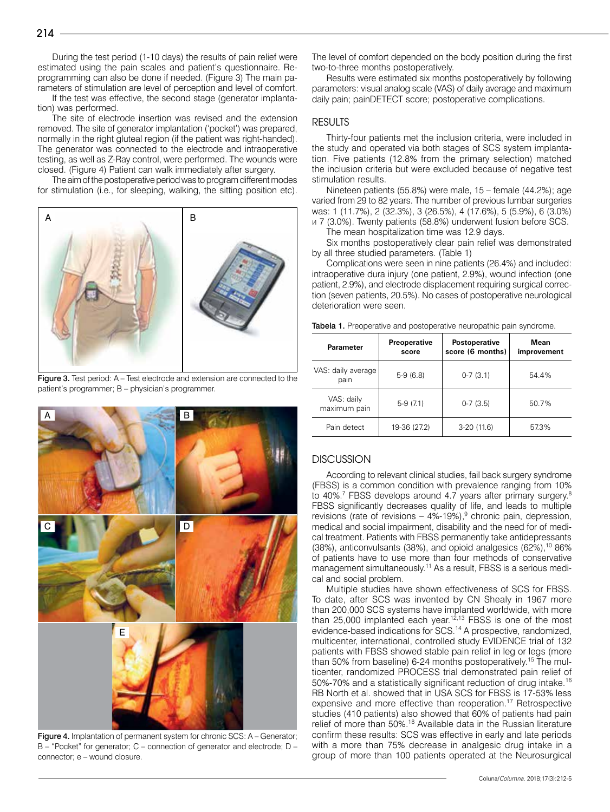During the test period (1-10 days) the results of pain relief were estimated using the pain scales and patient's questionnaire. Reprogramming can also be done if needed. (Figure 3) The main parameters of stimulation are level of perception and level of comfort.

If the test was effective, the second stage (generator implantation) was performed.

The site of electrode insertion was revised and the extension removed. The site of generator implantation ('pocket') was prepared, normally in the right gluteal region (if the patient was right-handed). The generator was connected to the electrode and intraoperative testing, as well as Z-Ray control, were performed. The wounds were closed. (Figure 4) Patient can walk immediately after surgery.

The aim of the postoperative period was to program different modes for stimulation (i.e., for sleeping, walking, the sitting position etc).



Figure 3. Test period: A – Test electrode and extension are connected to the patient's programmer; B – physician's programmer.



Figure 4. Implantation of permanent system for chronic SCS: A – Generator; B – "Pocket" for generator; C – connection of generator and electrode; D – connector; e – wound closure.

The level of comfort depended on the body position during the first two-to-three months postoperatively.

Results were estimated six months postoperatively by following parameters: visual analog scale (VAS) of daily average and maximum daily pain; painDETECT score; postoperative complications.

## **RESULTS**

Thirty-four patients met the inclusion criteria, were included in the study and operated via both stages of SCS system implantation. Five patients (12.8% from the primary selection) matched the inclusion criteria but were excluded because of negative test stimulation results.

Nineteen patients (55.8%) were male, 15 – female (44.2%); age varied from 29 to 82 years. The number of previous lumbar surgeries was: 1 (11.7%), 2 (32.3%), 3 (26.5%), 4 (17.6%), 5 (5.9%), 6 (3.0%) и 7 (3.0%). Twenty patients (58.8%) underwent fusion before SCS.

The mean hospitalization time was 12.9 days.

Six months postoperatively clear pain relief was demonstrated by all three studied parameters. (Table 1)

Complications were seen in nine patients (26.4%) and included: intraoperative dura injury (one patient, 2.9%), wound infection (one patient, 2.9%), and electrode displacement requiring surgical correction (seven patients, 20.5%). No cases of postoperative neurological deterioration were seen.

| <b>Parameter</b>           | <b>Preoperative</b><br>score | Postoperative<br>score (6 months) | Mean<br>improvement |
|----------------------------|------------------------------|-----------------------------------|---------------------|
| VAS: daily average<br>pain | $5-9(6.8)$                   | $0-7(3.1)$                        | 54.4%               |
| VAS: daily<br>maximum pain | $5-9(7.1)$                   | $0-7(3.5)$                        | 50.7%               |
| Pain detect                | 19-36 (27.2)                 | $3-20(11.6)$                      | 57.3%               |

Tabela 1. Preoperative and postoperative neuropathic pain syndrome.

## **DISCUSSION**

According to relevant clinical studies, fail back surgery syndrome (FBSS) is a common condition with prevalence ranging from 10% to 40%.<sup>7</sup> FBSS develops around 4.7 years after primary surgery.<sup>8</sup> FBSS significantly decreases quality of life, and leads to multiple revisions (rate of revisions  $-$  4%-19%),<sup>9</sup> chronic pain, depression, medical and social impairment, disability and the need for of medical treatment. Patients with FBSS permanently take antidepressants (38%), anticonvulsants (38%), and opioid analgesics (62%),<sup>10</sup> 86% of patients have to use more than four methods of conservative management simultaneously.11 As a result, FBSS is a serious medical and social problem.

Multiple studies have shown effectiveness of SCS for FBSS. To date, after SCS was invented by CN Shealy in 1967 more than 200,000 SCS systems have implanted worldwide, with more than 25,000 implanted each year.<sup>12,13</sup> FBSS is one of the most evidence-based indications for SCS.14 A prospective, randomized, multicenter, international, controlled study EVIDENCE trial of 132 patients with FBSS showed stable pain relief in leg or legs (more than 50% from baseline) 6-24 months postoperatively.<sup>15</sup> The multicenter, randomized PROCESS trial demonstrated pain relief of 50%-70% and a statistically significant reduction of drug intake.16 RB North et al. showed that in USA SCS for FBSS is 17-53% less expensive and more effective than reoperation.17 Retrospective studies (410 patients) also showed that 60% of patients had pain relief of more than 50%.18 Available data in the Russian literature confirm these results: SCS was effective in early and late periods with a more than 75% decrease in analgesic drug intake in a group of more than 100 patients operated at the Neurosurgical